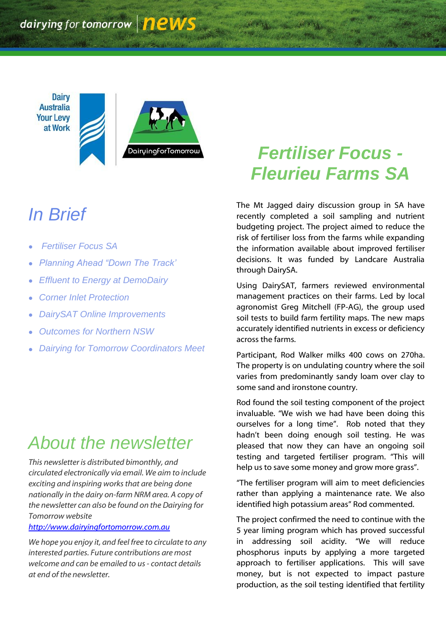**Dairy Australia Your Levy** at Work



# *In Brief*

- *Fertiliser Focus SA*
- *Planning Ahead "Down The Track'*
- *Effluent to Energy at DemoDairy*
- *Corner Inlet Protection*
- *DairySAT Online Improvements*
- *Outcomes for Northern NSW*
- *Dairying for Tomorrow Coordinators Meet*

## *About the newsletter*

*This newsletter is distributed bimonthly, and circulated electronically via email. We aim to include exciting and inspiring works that are being done nationally in the dairy on-farm NRM area. A copy of the newsletter can also be found on the Dairying for Tomorrow website* 

*[http://www.dairyingfortomorrow.com.au](http://www.dairyingfortomorrow.com.au/)* 

*We hope you enjoy it, and feel free to circulate to any interested parties. Future contributions are most welcome and can be emailed to us- contact details at end of the newsletter.*

## *Fertiliser Focus - Fleurieu Farms SA*

The Mt Jagged dairy discussion group in SA have recently completed a soil sampling and nutrient budgeting project. The project aimed to reduce the risk of fertiliser loss from the farms while expanding the information available about improved fertiliser decisions. It was funded by Landcare Australia through DairySA.

Using DairySAT, farmers reviewed environmental management practices on their farms. Led by local agronomist Greg Mitchell (FP-AG), the group used soil tests to build farm fertility maps. The new maps accurately identified nutrients in excess or deficiency across the farms.

Participant, Rod Walker milks 400 cows on 270ha. The property is on undulating country where the soil varies from predominantly sandy loam over clay to some sand and ironstone country.

Rod found the soil testing component of the project invaluable. "We wish we had have been doing this ourselves for a long time". Rob noted that they hadn"t been doing enough soil testing. He was pleased that now they can have an ongoing soil testing and targeted fertiliser program. "This will help us to save some money and grow more grass".

"The fertiliser program will aim to meet deficiencies rather than applying a maintenance rate. We also identified high potassium areas" Rod commented.

The project confirmed the need to continue with the 5 year liming program which has proved successful in addressing soil acidity. "We will reduce phosphorus inputs by applying a more targeted approach to fertiliser applications. This will save money, but is not expected to impact pasture production, as the soil testing identified that fertility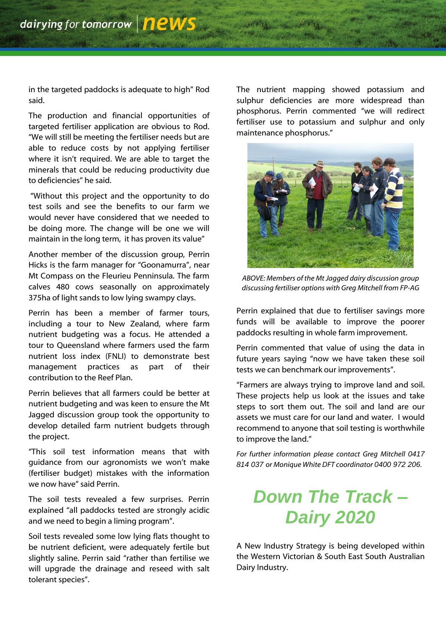in the targeted paddocks is adequate to high" Rod said.

The production and financial opportunities of targeted fertiliser application are obvious to Rod. "We will still be meeting the fertiliser needs but are able to reduce costs by not applying fertiliser where it isn't required. We are able to target the minerals that could be reducing productivity due to deficiencies" he said.

"Without this project and the opportunity to do test soils and see the benefits to our farm we would never have considered that we needed to be doing more. The change will be one we will maintain in the long term, it has proven its value"

Another member of the discussion group, Perrin Hicks is the farm manager for "Goonamurra", near Mt Compass on the Fleurieu Penninsula. The farm calves 480 cows seasonally on approximately 375ha of light sands to low lying swampy clays.

Perrin has been a member of farmer tours, including a tour to New Zealand, where farm nutrient budgeting was a focus. He attended a tour to Queensland where farmers used the farm nutrient loss index (FNLI) to demonstrate best management practices as part of their contribution to the Reef Plan.

Perrin believes that all farmers could be better at nutrient budgeting and was keen to ensure the Mt Jagged discussion group took the opportunity to develop detailed farm nutrient budgets through the project.

"This soil test information means that with guidance from our agronomists we won't make (fertiliser budget) mistakes with the information we now have" said Perrin.

The soil tests revealed a few surprises. Perrin explained "all paddocks tested are strongly acidic and we need to begin a liming program".

Soil tests revealed some low lying flats thought to be nutrient deficient, were adequately fertile but slightly saline. Perrin said "rather than fertilise we will upgrade the drainage and reseed with salt tolerant species".

The nutrient mapping showed potassium and sulphur deficiencies are more widespread than phosphorus. Perrin commented "we will redirect fertiliser use to potassium and sulphur and only maintenance phosphorus."



*ABOVE: Members of the Mt Jagged dairy discussion group discussing fertiliser options with Greg Mitchell from FP-AG*

Perrin explained that due to fertiliser savings more funds will be available to improve the poorer paddocks resulting in whole farm improvement.

Perrin commented that value of using the data in future years saying "now we have taken these soil tests we can benchmark our improvements".

"Farmers are always trying to improve land and soil. These projects help us look at the issues and take steps to sort them out. The soil and land are our assets we must care for our land and water. I would recommend to anyone that soil testing is worthwhile to improve the land."

*For further information please contact Greg Mitchell 0417 814 037 or Monique White DFT coordinator 0400 972 206.*

## *Down The Track – Dairy 2020*

A New Industry Strategy is being developed within the Western Victorian & South East South Australian Dairy Industry.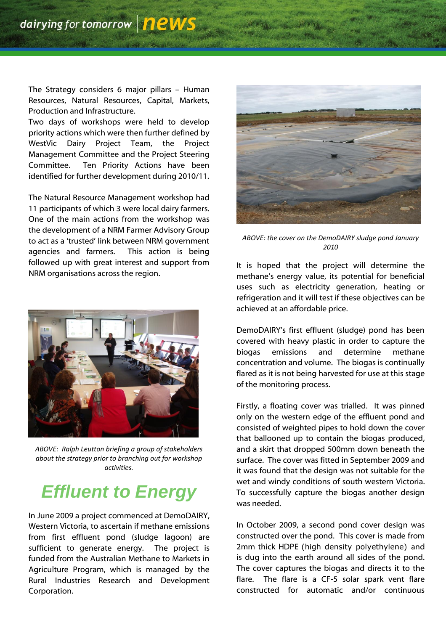The Strategy considers 6 major pillars – Human Resources, Natural Resources, Capital, Markets, Production and Infrastructure.

Two days of workshops were held to develop priority actions which were then further defined by WestVic Dairy Project Team, the Project Management Committee and the Project Steering Committee. Ten Priority Actions have been identified for further development during 2010/11.

The Natural Resource Management workshop had 11 participants of which 3 were local dairy farmers. One of the main actions from the workshop was the development of a NRM Farmer Advisory Group to act as a "trusted" link between NRM government agencies and farmers. This action is being followed up with great interest and support from NRM organisations across the region.



*ABOVE: Ralph Leutton briefing a group of stakeholders about the strategy prior to branching out for workshop activities.*

#### *Effluent to Energy*

In June 2009 a project commenced at DemoDAIRY, Western Victoria, to ascertain if methane emissions from first effluent pond (sludge lagoon) are sufficient to generate energy. The project is funded from the Australian Methane to Markets in Agriculture Program, which is managed by the Rural Industries Research and Development Corporation.



*ABOVE: the cover on the DemoDAIRY sludge pond January 2010*

It is hoped that the project will determine the methane's energy value, its potential for beneficial uses such as electricity generation, heating or refrigeration and it will test if these objectives can be achieved at an affordable price.

DemoDAIRY"s first effluent (sludge) pond has been covered with heavy plastic in order to capture the biogas emissions and determine methane concentration and volume. The biogas is continually flared as it is not being harvested for use at this stage of the monitoring process.

Firstly, a floating cover was trialled. It was pinned only on the western edge of the effluent pond and consisted of weighted pipes to hold down the cover that ballooned up to contain the biogas produced, and a skirt that dropped 500mm down beneath the surface. The cover was fitted in September 2009 and it was found that the design was not suitable for the wet and windy conditions of south western Victoria. To successfully capture the biogas another design was needed.

In October 2009, a second pond cover design was constructed over the pond. This cover is made from 2mm thick HDPE (high density polyethylene) and is dug into the earth around all sides of the pond. The cover captures the biogas and directs it to the flare. The flare is a CF-5 solar spark vent flare constructed for automatic and/or continuous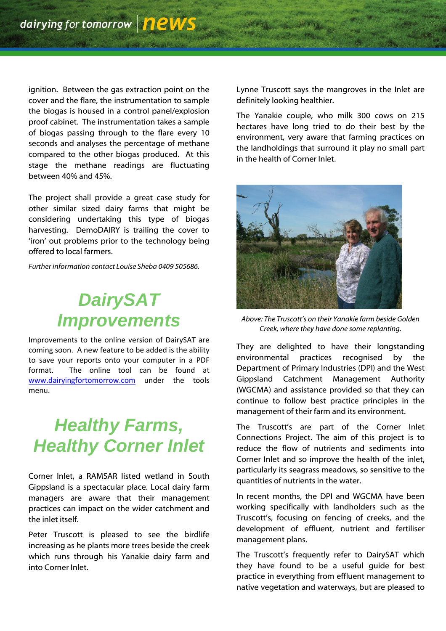ignition. Between the gas extraction point on the cover and the flare, the instrumentation to sample the biogas is housed in a control panel/explosion proof cabinet. The instrumentation takes a sample of biogas passing through to the flare every 10 seconds and analyses the percentage of methane compared to the other biogas produced. At this stage the methane readings are fluctuating between 40% and 45%.

The project shall provide a great case study for other similar sized dairy farms that might be considering undertaking this type of biogas harvesting. DemoDAIRY is trailing the cover to 'iron' out problems prior to the technology being offered to local farmers.

*Further information contact Louise Sheba 0409 505686.*

### *DairySAT Improvements*

Improvements to the online version of DairySAT are coming soon. A new feature to be added is the ability to save your reports onto your computer in a PDF format. The online tool can be found at [www.dairyingfortomorrow.com](http://www.dairyingfortomorrow.com/) under the tools menu.

### *Healthy Farms, Healthy Corner Inlet*

Corner Inlet, a RAMSAR listed wetland in South Gippsland is a spectacular place. Local dairy farm managers are aware that their management practices can impact on the wider catchment and the inlet itself.

Peter Truscott is pleased to see the birdlife increasing as he plants more trees beside the creek which runs through his Yanakie dairy farm and into Corner Inlet.

Lynne Truscott says the mangroves in the Inlet are definitely looking healthier.

The Yanakie couple, who milk 300 cows on 215 hectares have long tried to do their best by the environment, very aware that farming practices on the landholdings that surround it play no small part in the health of Corner Inlet.



*Above: The Truscott"s on their Yanakie farm beside Golden Creek, where they have done some replanting.*

They are delighted to have their longstanding environmental practices recognised by the Department of Primary Industries (DPI) and the West Gippsland Catchment Management Authority (WGCMA) and assistance provided so that they can continue to follow best practice principles in the management of their farm and its environment.

The Truscott"s are part of the Corner Inlet Connections Project. The aim of this project is to reduce the flow of nutrients and sediments into Corner Inlet and so improve the health of the inlet, particularly its seagrass meadows, so sensitive to the quantities of nutrients in the water.

In recent months, the DPI and WGCMA have been working specifically with landholders such as the Truscott's, focusing on fencing of creeks, and the development of effluent, nutrient and fertiliser management plans.

The Truscott's frequently refer to DairySAT which they have found to be a useful guide for best practice in everything from effluent management to native vegetation and waterways, but are pleased to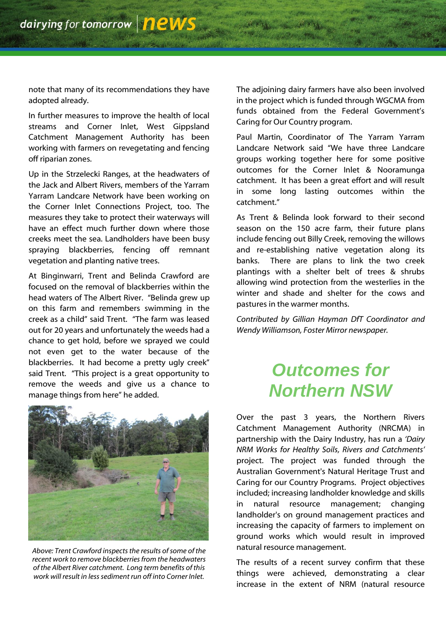note that many of its recommendations they have adopted already.

In further measures to improve the health of local streams and Corner Inlet, West Gippsland Catchment Management Authority has been working with farmers on revegetating and fencing off riparian zones.

Up in the Strzelecki Ranges, at the headwaters of the Jack and Albert Rivers, members of the Yarram Yarram Landcare Network have been working on the Corner Inlet Connections Project, too. The measures they take to protect their waterways will have an effect much further down where those creeks meet the sea. Landholders have been busy spraying blackberries, fencing off remnant vegetation and planting native trees.

At Binginwarri, Trent and Belinda Crawford are focused on the removal of blackberries within the head waters of The Albert River. "Belinda grew up on this farm and remembers swimming in the creek as a child" said Trent. "The farm was leased out for 20 years and unfortunately the weeds had a chance to get hold, before we sprayed we could not even get to the water because of the blackberries. It had become a pretty ugly creek" said Trent. "This project is a great opportunity to remove the weeds and give us a chance to manage things from here" he added.



*Above: Trent Crawford inspects the results of some of the recent work to remove blackberries from the headwaters of the Albert River catchment. Long term benefits of this work will result in less sediment run off into Corner Inlet.*

The adjoining dairy farmers have also been involved in the project which is funded through WGCMA from funds obtained from the Federal Government's Caring for Our Country program.

Paul Martin, Coordinator of The Yarram Yarram Landcare Network said "We have three Landcare groups working together here for some positive outcomes for the Corner Inlet & Nooramunga catchment. It has been a great effort and will result in some long lasting outcomes within the catchment."

As Trent & Belinda look forward to their second season on the 150 acre farm, their future plans include fencing out Billy Creek, removing the willows and re-establishing native vegetation along its banks. There are plans to link the two creek plantings with a shelter belt of trees & shrubs allowing wind protection from the westerlies in the winter and shade and shelter for the cows and pastures in the warmer months.

*Contributed by Gillian Hayman DfT Coordinator and Wendy Williamson, Foster Mirror newspaper.*

#### *Outcomes for Northern NSW*

Over the past 3 years, the Northern Rivers Catchment Management Authority (NRCMA) in partnership with the Dairy Industry, has run a *"Dairy NRM Works for Healthy Soils, Rivers and Catchments"* project. The project was funded through the Australian Government's Natural Heritage Trust and Caring for our Country Programs. Project objectives included; increasing landholder knowledge and skills in natural resource management; changing landholder's on ground management practices and increasing the capacity of farmers to implement on ground works which would result in improved natural resource management.

The results of a recent survey confirm that these things were achieved, demonstrating a clear increase in the extent of NRM (natural resource